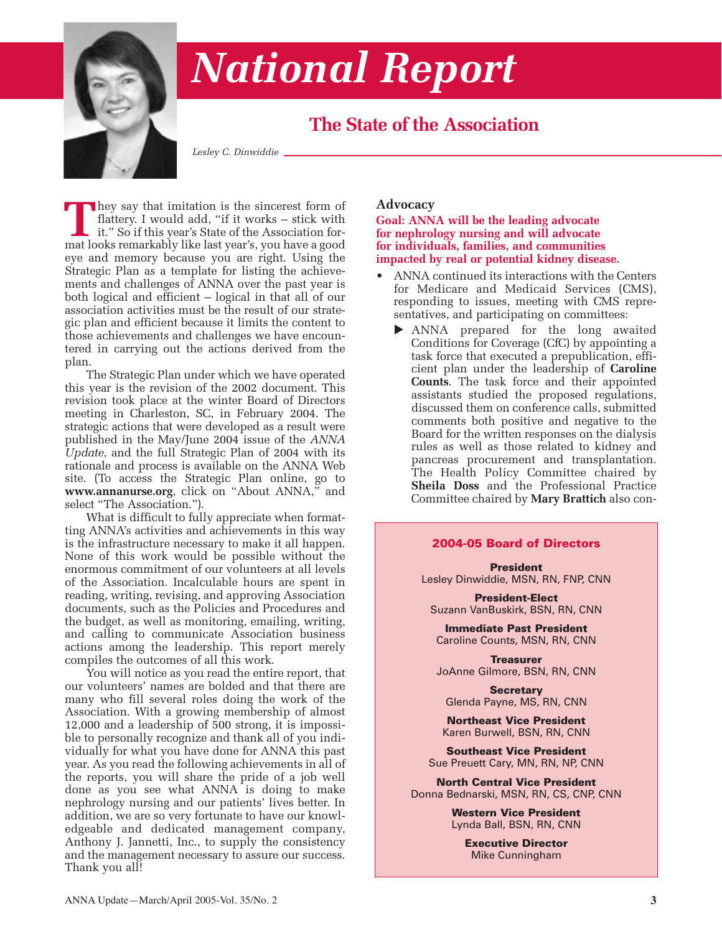

# *National Report*

# **The State of the Association**

*Lesley C. Dinwiddie*

**They say that imitation is the sincerest form of flattery. I would add, "if it works – stick with it." So if this year's State of the Association format looks remarkably like last year's, you have a good** flattery. I would add, "if it works – stick with it." So if this year's State of the Association format looks remarkably like last year's, you have a good eye and memory because you are right. Using the Strategic Plan as a template for listing the achievements and challenges of ANNA over the past year is both logical and efficient – logical in that all of our association activities must be the result of our strategic plan and efficient because it limits the content to those achievements and challenges we have encountered in carrying out the actions derived from the plan.

The Strategic Plan under which we have operated this year is the revision of the 2002 document. This revision took place at the winter Board of Directors meeting in Charleston, SC, in February 2004. The strategic actions that were developed as a result were published in the May/June 2004 issue of the *ANNA Update*, and the full Strategic Plan of 2004 with its rationale and process is available on the ANNA Web site. (To access the Strategic Plan online, go to **www.annanurse.org**, click on "About ANNA," and select "The Association.").

What is difficult to fully appreciate when formatting ANNA's activities and achievements in this way is the infrastructure necessary to make it all happen. None of this work would be possible without the enormous commitment of our volunteers at all levels of the Association. Incalculable hours are spent in reading, writing, revising, and approving Association documents, such as the Policies and Procedures and the budget, as well as monitoring, emailing, writing, and calling to communicate Association business actions among the leadership. This report merely compiles the outcomes of all this work.

You will notice as you read the entire report, that our volunteers' names are bolded and that there are many who fill several roles doing the work of the Association. With a growing membership of almost 12,000 and a leadership of 500 strong, it is impossible to personally recognize and thank all of you individually for what you have done for ANNA this past year. As you read the following achievements in all of the reports, you will share the pride of a job well done as you see what ANNA is doing to make nephrology nursing and our patients' lives better. In addition, we are so very fortunate to have our knowledgeable and dedicated management company, Anthony J. Jannetti, Inc., to supply the consistency and the management necessary to assure our success. Thank you all!

#### **Advocacy**

#### **Goal: ANNA will be the leading advocate for nephrology nursing and will advocate for individuals, families, and communities impacted by real or potential kidney disease.**

- ANNA continued its interactions with the Centers for Medicare and Medicaid Services (CMS), responding to issues, meeting with CMS representatives, and participating on committees:
	- ANNA prepared for the long awaited Conditions for Coverage (CfC) by appointing a task force that executed a prepublication, efficient plan under the leadership of **Caroline Counts**. The task force and their appointed assistants studied the proposed regulations, discussed them on conference calls, submitted comments both positive and negative to the Board for the written responses on the dialysis rules as well as those related to kidney and pancreas procurement and transplantation. The Health Policy Committee chaired by **Sheila Doss** and the Professional Practice Committee chaired by **Mary Brattich** also con-

#### **2004-05 Board of Directors**

**President** Lesley Dinwiddie, MSN, RN, FNP, CNN

**President-Elect** Suzann VanBuskirk, BSN, RN, CNN

**Immediate Past President** Caroline Counts, MSN, RN, CNN

**Treasurer** JoAnne Gilmore, BSN, RN, CNN

**Secretary** Glenda Payne, MS, RN, CNN

**Northeast Vice President** Karen Burwell, BSN, RN, CNN

**Southeast Vice President** Sue Preuett Cary, MN, RN, NP, CNN

**North Central Vice President** Donna Bednarski, MSN, RN, CS, CNP, CNN

> **Western Vice President** Lynda Ball, BSN, RN, CNN

> > **Executive Director** Mike Cunningham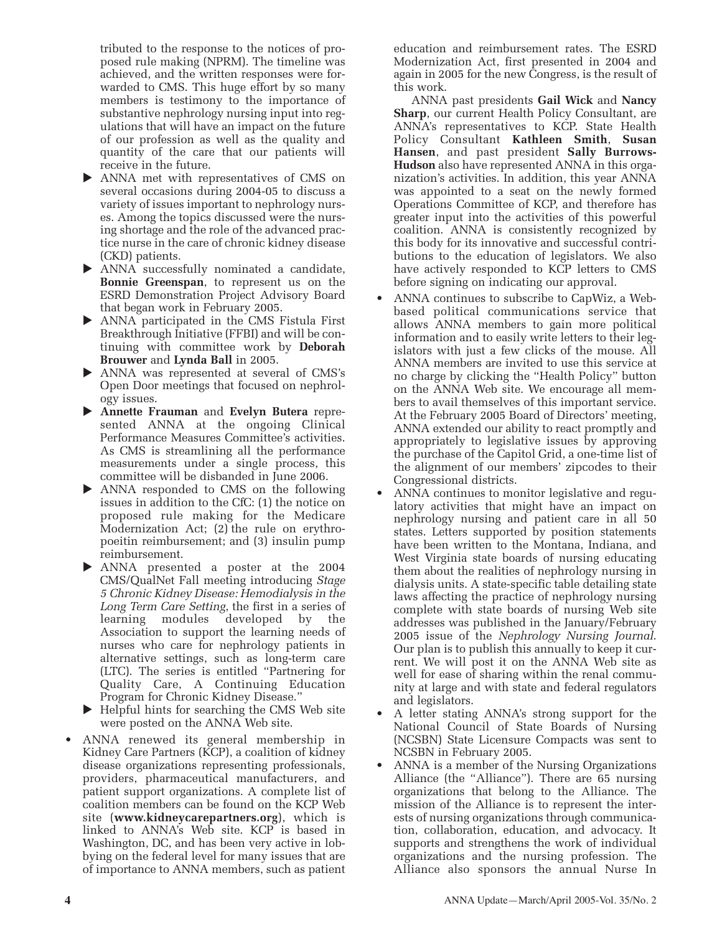tributed to the response to the notices of proposed rule making (NPRM). The timeline was achieved, and the written responses were forwarded to CMS. This huge effort by so many members is testimony to the importance of substantive nephrology nursing input into regulations that will have an impact on the future of our profession as well as the quality and quantity of the care that our patients will receive in the future.

- ANNA met with representatives of CMS on several occasions during 2004-05 to discuss a variety of issues important to nephrology nurses. Among the topics discussed were the nursing shortage and the role of the advanced practice nurse in the care of chronic kidney disease (CKD) patients.
- ANNA successfully nominated a candidate, **Bonnie Greenspan**, to represent us on the ESRD Demonstration Project Advisory Board that began work in February 2005.
- ANNA participated in the CMS Fistula First Breakthrough Initiative (FFBI) and will be continuing with committee work by **Deborah Brouwer** and **Lynda Ball** in 2005.
- ANNA was represented at several of CMS's Open Door meetings that focused on nephrology issues.
- **Annette Frauman** and **Evelyn Butera** represented ANNA at the ongoing Clinical Performance Measures Committee's activities. As CMS is streamlining all the performance measurements under a single process, this committee will be disbanded in June 2006.
- ANNA responded to CMS on the following issues in addition to the CfC: (1) the notice on proposed rule making for the Medicare Modernization Act; (2) the rule on erythropoeitin reimbursement; and (3) insulin pump reimbursement.
- ANNA presented a poster at the 2004 CMS/QualNet Fall meeting introducing *Stage 5 Chronic Kidney Disease: Hemodialysis in the Long Term Care Setting*, the first in a series of learning modules developed by the Association to support the learning needs of nurses who care for nephrology patients in alternative settings, such as long-term care (LTC). The series is entitled "Partnering for Quality Care, A Continuing Education Program for Chronic Kidney Disease."
- Helpful hints for searching the CMS Web site were posted on the ANNA Web site.
- ANNA renewed its general membership in Kidney Care Partners (KCP), a coalition of kidney disease organizations representing professionals, providers, pharmaceutical manufacturers, and patient support organizations. A complete list of coalition members can be found on the KCP Web site (**www.kidneycarepartners.org**), which is linked to ANNA's Web site. KCP is based in Washington, DC, and has been very active in lobbying on the federal level for many issues that are of importance to ANNA members, such as patient

education and reimbursement rates. The ESRD Modernization Act, first presented in 2004 and again in 2005 for the new Congress, is the result of this work.

ANNA past presidents **Gail Wick** and **Nancy Sharp**, our current Health Policy Consultant, are ANNA's representatives to KCP. State Health Policy Consultant **Kathleen Smith**, **Susan Hansen**, and past president **Sally Burrows-Hudson** also have represented ANNA in this organization's activities. In addition, this year ANNA was appointed to a seat on the newly formed Operations Committee of KCP, and therefore has greater input into the activities of this powerful coalition. ANNA is consistently recognized by this body for its innovative and successful contributions to the education of legislators. We also have actively responded to KCP letters to CMS before signing on indicating our approval.

- ANNA continues to subscribe to CapWiz, a Webbased political communications service that allows ANNA members to gain more political information and to easily write letters to their legislators with just a few clicks of the mouse. All ANNA members are invited to use this service at no charge by clicking the "Health Policy" button on the ANNA Web site. We encourage all members to avail themselves of this important service. At the February 2005 Board of Directors' meeting, ANNA extended our ability to react promptly and appropriately to legislative issues by approving the purchase of the Capitol Grid, a one-time list of the alignment of our members' zipcodes to their Congressional districts.
- ANNA continues to monitor legislative and regulatory activities that might have an impact on nephrology nursing and patient care in all 50 states. Letters supported by position statements have been written to the Montana, Indiana, and West Virginia state boards of nursing educating them about the realities of nephrology nursing in dialysis units. A state-specific table detailing state laws affecting the practice of nephrology nursing complete with state boards of nursing Web site addresses was published in the January/February 2005 issue of the *Nephrology Nursing Journal*. Our plan is to publish this annually to keep it current. We will post it on the ANNA Web site as well for ease of sharing within the renal community at large and with state and federal regulators and legislators.
- A letter stating ANNA's strong support for the National Council of State Boards of Nursing (NCSBN) State Licensure Compacts was sent to NCSBN in February 2005.
- ANNA is a member of the Nursing Organizations Alliance (the "Alliance"). There are 65 nursing organizations that belong to the Alliance. The mission of the Alliance is to represent the interests of nursing organizations through communication, collaboration, education, and advocacy. It supports and strengthens the work of individual organizations and the nursing profession. The Alliance also sponsors the annual Nurse In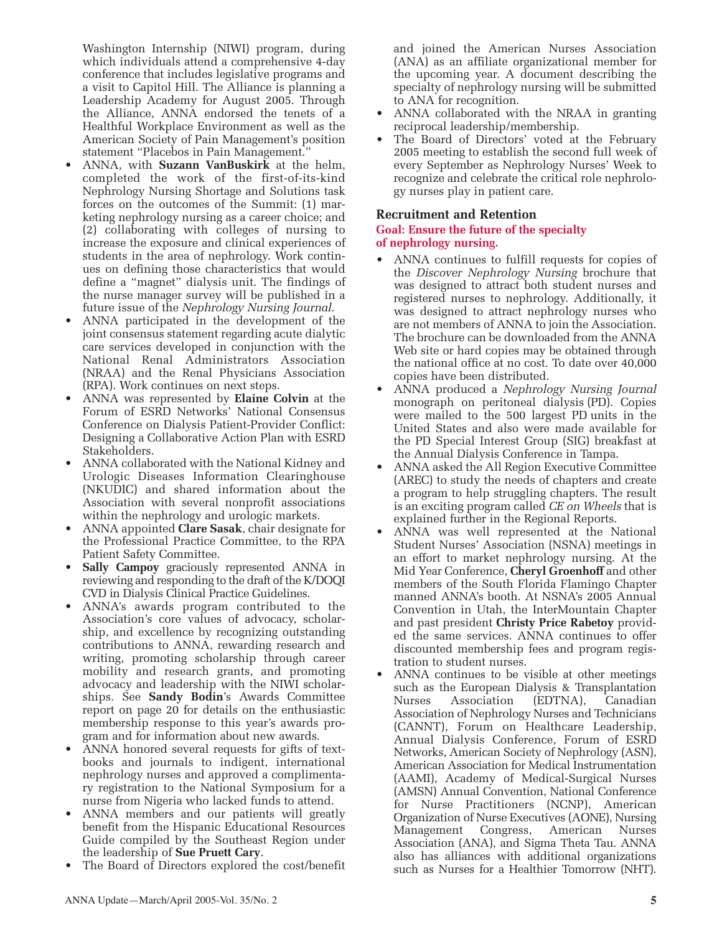Washington Internship (NIWI) program, during which individuals attend a comprehensive 4-day conference that includes legislative programs and a visit to Capitol Hill. The Alliance is planning a Leadership Academy for August 2005. Through the Alliance, ANNA endorsed the tenets of a Healthful Workplace Environment as well as the American Society of Pain Management's position statement "Placebos in Pain Management."

- ANNA, with **Suzann VanBuskirk** at the helm, completed the work of the first-of-its-kind Nephrology Nursing Shortage and Solutions task forces on the outcomes of the Summit: (1) marketing nephrology nursing as a career choice; and (2) collaborating with colleges of nursing to increase the exposure and clinical experiences of students in the area of nephrology. Work continues on defining those characteristics that would define a "magnet" dialysis unit. The findings of the nurse manager survey will be published in a future issue of the *Nephrology Nursing Journal*.
- ANNA participated in the development of the joint consensus statement regarding acute dialytic care services developed in conjunction with the National Renal Administrators Association (NRAA) and the Renal Physicians Association (RPA). Work continues on next steps.
- ANNA was represented by **Elaine Colvin** at the Forum of ESRD Networks' National Consensus Conference on Dialysis Patient-Provider Conflict: Designing a Collaborative Action Plan with ESRD Stakeholders.
- ANNA collaborated with the National Kidney and Urologic Diseases Information Clearinghouse (NKUDIC) and shared information about the Association with several nonprofit associations within the nephrology and urologic markets.
- ANNA appointed **Clare Sasak**, chair designate for the Professional Practice Committee, to the RPA Patient Safety Committee.
- **Sally Campoy** graciously represented ANNA in reviewing and responding to the draft of the K/DOQI CVD in Dialysis Clinical Practice Guidelines.
- ANNA's awards program contributed to the Association's core values of advocacy, scholarship, and excellence by recognizing outstanding contributions to ANNA, rewarding research and writing, promoting scholarship through career mobility and research grants, and promoting advocacy and leadership with the NIWI scholarships. See **Sandy Bodin**'s Awards Committee report on page 20 for details on the enthusiastic membership response to this year's awards program and for information about new awards.
- ANNA honored several requests for gifts of textbooks and journals to indigent, international nephrology nurses and approved a complimentary registration to the National Symposium for a nurse from Nigeria who lacked funds to attend.
- ANNA members and our patients will greatly benefit from the Hispanic Educational Resources Guide compiled by the Southeast Region under the leadership of **Sue Pruett Cary**.
- The Board of Directors explored the cost/benefit

and joined the American Nurses Association (ANA) as an affiliate organizational member for the upcoming year. A document describing the specialty of nephrology nursing will be submitted to ANA for recognition.

- ANNA collaborated with the NRAA in granting reciprocal leadership/membership.
- The Board of Directors' voted at the February 2005 meeting to establish the second full week of every September as Nephrology Nurses' Week to recognize and celebrate the critical role nephrology nurses play in patient care.

# **Recruitment and Retention**

#### **Goal: Ensure the future of the specialty of nephrology nursing.**

- ANNA continues to fulfill requests for copies of the *Discover Nephrology Nursing* brochure that was designed to attract both student nurses and registered nurses to nephrology. Additionally, it was designed to attract nephrology nurses who are not members of ANNA to join the Association. The brochure can be downloaded from the ANNA Web site or hard copies may be obtained through the national office at no cost. To date over 40,000 copies have been distributed.
- ANNA produced a *Nephrology Nursing Journal* monograph on peritoneal dialysis (PD). Copies were mailed to the 500 largest PD units in the United States and also were made available for the PD Special Interest Group (SIG) breakfast at the Annual Dialysis Conference in Tampa.
- ANNA asked the All Region Executive Committee (AREC) to study the needs of chapters and create a program to help struggling chapters. The result is an exciting program called *CE on Wheels* that is explained further in the Regional Reports.
- ANNA was well represented at the National Student Nurses' Association (NSNA) meetings in an effort to market nephrology nursing. At the Mid Year Conference, **Cheryl Groenhoff** and other members of the South Florida Flamingo Chapter manned ANNA's booth. At NSNA's 2005 Annual Convention in Utah, the InterMountain Chapter and past president **Christy Price Rabetoy** provided the same services. ANNA continues to offer discounted membership fees and program registration to student nurses.
- ANNA continues to be visible at other meetings such as the European Dialysis & Transplantation Nurses Association (EDTNA), Canadian Association of Nephrology Nurses and Technicians (CANNT), Forum on Healthcare Leadership, Annual Dialysis Conference, Forum of ESRD Networks, American Society of Nephrology (ASN), American Association for Medical Instrumentation (AAMI), Academy of Medical-Surgical Nurses (AMSN) Annual Convention, National Conference for Nurse Practitioners (NCNP), American Organization of Nurse Executives (AONE), Nursing Management Congress, American Nurses Association (ANA), and Sigma Theta Tau. ANNA also has alliances with additional organizations such as Nurses for a Healthier Tomorrow (NHT).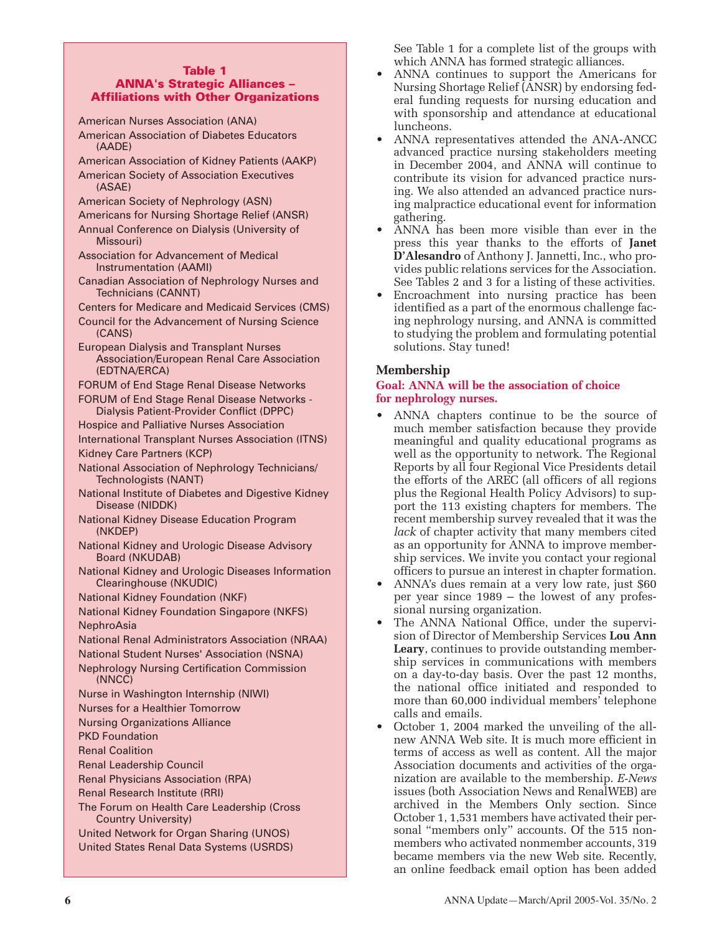#### **Table 1 ANNA's Strategic Alliances – Affiliations with Other Organizations**

American Nurses Association (ANA)

American Association of Diabetes Educators (AADE) American Association of Kidney Patients (AAKP) American Society of Association Executives (ASAE) American Society of Nephrology (ASN) Americans for Nursing Shortage Relief (ANSR) Annual Conference on Dialysis (University of Missouri) Association for Advancement of Medical Instrumentation (AAMI) Canadian Association of Nephrology Nurses and Technicians (CANNT) Centers for Medicare and Medicaid Services (CMS) Council for the Advancement of Nursing Science (CANS) European Dialysis and Transplant Nurses Association/European Renal Care Association (EDTNA/ERCA) FORUM of End Stage Renal Disease Networks FORUM of End Stage Renal Disease Networks - Dialysis Patient-Provider Conflict (DPPC) Hospice and Palliative Nurses Association International Transplant Nurses Association (ITNS) Kidney Care Partners (KCP) National Association of Nephrology Technicians/ Technologists (NANT) National Institute of Diabetes and Digestive Kidney Disease (NIDDK) National Kidney Disease Education Program (NKDEP) National Kidney and Urologic Disease Advisory Board (NKUDAB) National Kidney and Urologic Diseases Information Clearinghouse (NKUDIC) National Kidney Foundation (NKF) National Kidney Foundation Singapore (NKFS) **NephroAsia** National Renal Administrators Association (NRAA) National Student Nurses' Association (NSNA) Nephrology Nursing Certification Commission (NNCC) Nurse in Washington Internship (NIWI) Nurses for a Healthier Tomorrow Nursing Organizations Alliance PKD Foundation Renal Coalition Renal Leadership Council Renal Physicians Association (RPA) Renal Research Institute (RRI) The Forum on Health Care Leadership (Cross Country University) United Network for Organ Sharing (UNOS) United States Renal Data Systems (USRDS)

See Table 1 for a complete list of the groups with which ANNA has formed strategic alliances.

- ANNA continues to support the Americans for Nursing Shortage Relief (ANSR) by endorsing federal funding requests for nursing education and with sponsorship and attendance at educational luncheons.
- ANNA representatives attended the ANA-ANCC advanced practice nursing stakeholders meeting in December 2004, and ANNA will continue to contribute its vision for advanced practice nursing. We also attended an advanced practice nursing malpractice educational event for information gathering.
- ANNA has been more visible than ever in the press this year thanks to the efforts of **Janet D'Alesandro** of Anthony J. Jannetti, Inc., who provides public relations services for the Association. See Tables 2 and 3 for a listing of these activities.
- Encroachment into nursing practice has been identified as a part of the enormous challenge facing nephrology nursing, and ANNA is committed to studying the problem and formulating potential solutions. Stay tuned!

# **Membership**

#### **Goal: ANNA will be the association of choice for nephrology nurses.**

- ANNA chapters continue to be the source of much member satisfaction because they provide meaningful and quality educational programs as well as the opportunity to network. The Regional Reports by all four Regional Vice Presidents detail the efforts of the AREC (all officers of all regions plus the Regional Health Policy Advisors) to support the 113 existing chapters for members. The recent membership survey revealed that it was the *lack* of chapter activity that many members cited as an opportunity for ANNA to improve membership services. We invite you contact your regional officers to pursue an interest in chapter formation.
- ANNA's dues remain at a very low rate, just \$60 per year since 1989 – the lowest of any professional nursing organization.
- The ANNA National Office, under the supervision of Director of Membership Services **Lou Ann Leary**, continues to provide outstanding membership services in communications with members on a day-to-day basis. Over the past 12 months, the national office initiated and responded to more than 60,000 individual members' telephone calls and emails.
- October 1, 2004 marked the unveiling of the allnew ANNA Web site. It is much more efficient in terms of access as well as content. All the major Association documents and activities of the organization are available to the membership. *E-News* issues (both Association News and RenalWEB) are archived in the Members Only section. Since October 1, 1,531 members have activated their personal "members only" accounts. Of the 515 nonmembers who activated nonmember accounts, 319 became members via the new Web site. Recently, an online feedback email option has been added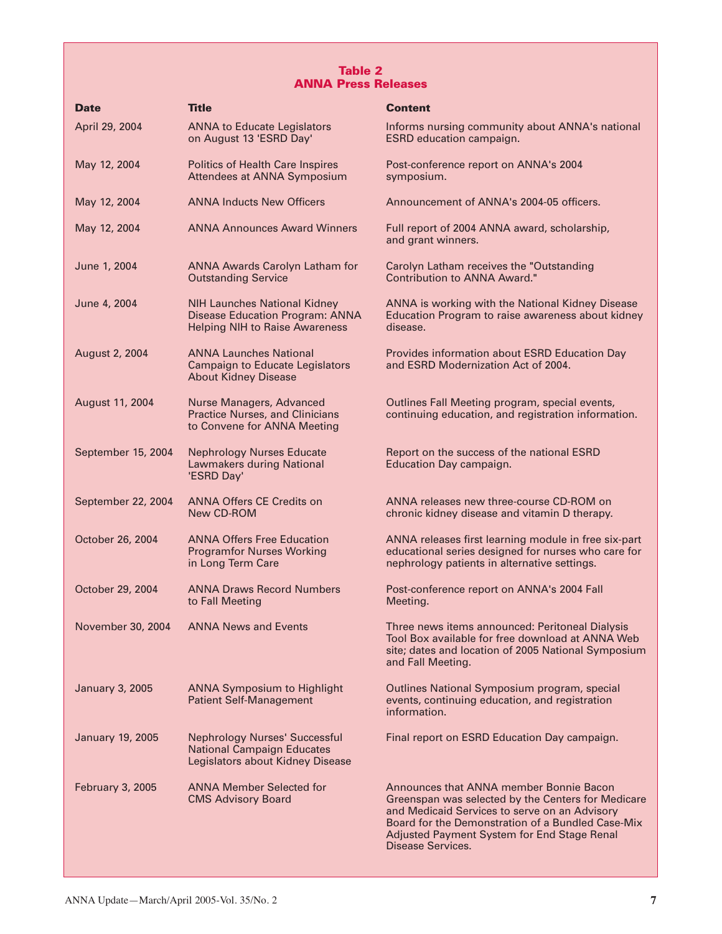# **Table 2 ANNA Press Releases**

| <b>Date</b>             | <b>Title</b>                                                                                                           | <b>Content</b>                                                                                                                                                                                                                                                                 |
|-------------------------|------------------------------------------------------------------------------------------------------------------------|--------------------------------------------------------------------------------------------------------------------------------------------------------------------------------------------------------------------------------------------------------------------------------|
| April 29, 2004          | <b>ANNA to Educate Legislators</b><br>on August 13 'ESRD Day'                                                          | Informs nursing community about ANNA's national<br><b>ESRD</b> education campaign.                                                                                                                                                                                             |
| May 12, 2004            | <b>Politics of Health Care Inspires</b><br>Attendees at ANNA Symposium                                                 | Post-conference report on ANNA's 2004<br>symposium.                                                                                                                                                                                                                            |
| May 12, 2004            | <b>ANNA Inducts New Officers</b>                                                                                       | Announcement of ANNA's 2004-05 officers.                                                                                                                                                                                                                                       |
| May 12, 2004            | <b>ANNA Announces Award Winners</b>                                                                                    | Full report of 2004 ANNA award, scholarship,<br>and grant winners.                                                                                                                                                                                                             |
| June 1, 2004            | <b>ANNA Awards Carolyn Latham for</b><br><b>Outstanding Service</b>                                                    | Carolyn Latham receives the "Outstanding<br><b>Contribution to ANNA Award."</b>                                                                                                                                                                                                |
| June 4, 2004            | <b>NIH Launches National Kidney</b><br><b>Disease Education Program: ANNA</b><br><b>Helping NIH to Raise Awareness</b> | ANNA is working with the National Kidney Disease<br>Education Program to raise awareness about kidney<br>disease.                                                                                                                                                              |
| August 2, 2004          | <b>ANNA Launches National</b><br><b>Campaign to Educate Legislators</b><br><b>About Kidney Disease</b>                 | Provides information about ESRD Education Day<br>and ESRD Modernization Act of 2004.                                                                                                                                                                                           |
| August 11, 2004         | Nurse Managers, Advanced<br><b>Practice Nurses, and Clinicians</b><br>to Convene for ANNA Meeting                      | Outlines Fall Meeting program, special events,<br>continuing education, and registration information.                                                                                                                                                                          |
| September 15, 2004      | <b>Nephrology Nurses Educate</b><br><b>Lawmakers during National</b><br>'ESRD Day'                                     | Report on the success of the national ESRD<br>Education Day campaign.                                                                                                                                                                                                          |
| September 22, 2004      | <b>ANNA Offers CE Credits on</b><br>New CD-ROM                                                                         | ANNA releases new three-course CD-ROM on<br>chronic kidney disease and vitamin D therapy.                                                                                                                                                                                      |
| October 26, 2004        | <b>ANNA Offers Free Education</b><br><b>Programfor Nurses Working</b><br>in Long Term Care                             | ANNA releases first learning module in free six-part<br>educational series designed for nurses who care for<br>nephrology patients in alternative settings.                                                                                                                    |
| October 29, 2004        | <b>ANNA Draws Record Numbers</b><br>to Fall Meeting                                                                    | Post-conference report on ANNA's 2004 Fall<br>Meeting.                                                                                                                                                                                                                         |
| November 30, 2004       | <b>ANNA News and Events</b>                                                                                            | Three news items announced: Peritoneal Dialysis<br>Tool Box available for free download at ANNA Web<br>site; dates and location of 2005 National Symposium<br>and Fall Meeting.                                                                                                |
| <b>January 3, 2005</b>  | <b>ANNA Symposium to Highlight</b><br><b>Patient Self-Management</b>                                                   | Outlines National Symposium program, special<br>events, continuing education, and registration<br>information.                                                                                                                                                                 |
| January 19, 2005        | <b>Nephrology Nurses' Successful</b><br><b>National Campaign Educates</b><br>Legislators about Kidney Disease          | Final report on ESRD Education Day campaign.                                                                                                                                                                                                                                   |
| <b>February 3, 2005</b> | <b>ANNA Member Selected for</b><br><b>CMS Advisory Board</b>                                                           | Announces that ANNA member Bonnie Bacon<br>Greenspan was selected by the Centers for Medicare<br>and Medicaid Services to serve on an Advisory<br>Board for the Demonstration of a Bundled Case-Mix<br>Adjusted Payment System for End Stage Renal<br><b>Disease Services.</b> |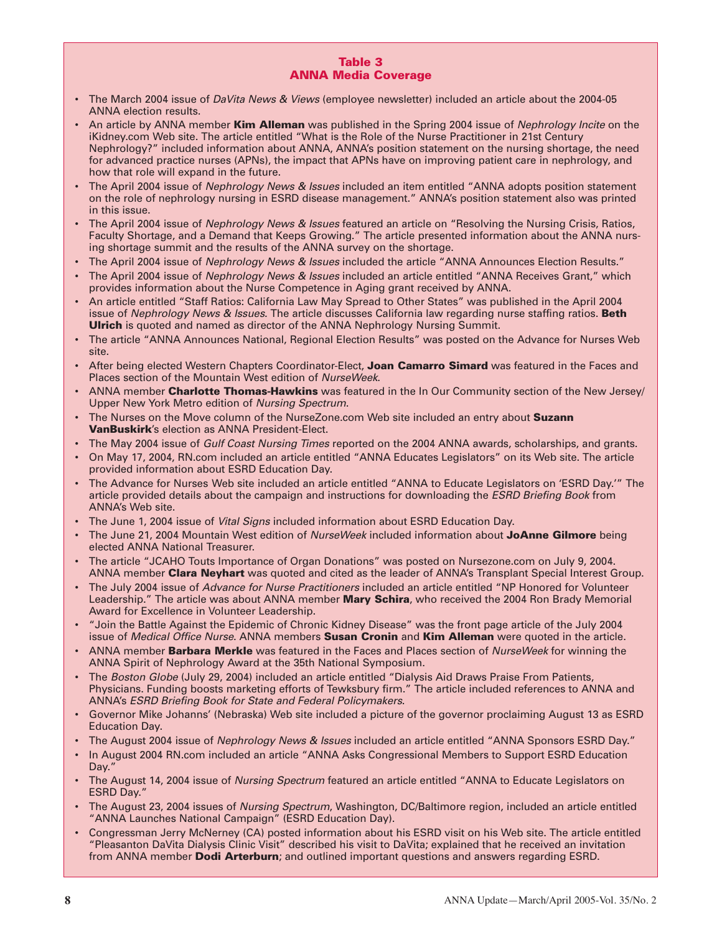#### **Table 3 ANNA Media Coverage**

- The March 2004 issue of DaVita News & Views (employee newsletter) included an article about the 2004-05 ANNA election results.
- An article by ANNA member **Kim Alleman** was published in the Spring 2004 issue of Nephrology Incite on the iKidney.com Web site. The article entitled "What is the Role of the Nurse Practitioner in 21st Century Nephrology?" included information about ANNA, ANNA's position statement on the nursing shortage, the need for advanced practice nurses (APNs), the impact that APNs have on improving patient care in nephrology, and how that role will expand in the future.
- The April 2004 issue of Nephrology News & Issues included an item entitled "ANNA adopts position statement on the role of nephrology nursing in ESRD disease management." ANNA's position statement also was printed in this issue.
- The April 2004 issue of Nephrology News & Issues featured an article on "Resolving the Nursing Crisis, Ratios, Faculty Shortage, and a Demand that Keeps Growing." The article presented information about the ANNA nursing shortage summit and the results of the ANNA survey on the shortage.
- The April 2004 issue of Nephrology News & Issues included the article "ANNA Announces Election Results."
- The April 2004 issue of Nephrology News & Issues included an article entitled "ANNA Receives Grant," which provides information about the Nurse Competence in Aging grant received by ANNA.
- An article entitled "Staff Ratios: California Law May Spread to Other States" was published in the April 2004 issue of Nephrology News & Issues. The article discusses California law regarding nurse staffing ratios. **Beth Ulrich** is quoted and named as director of the ANNA Nephrology Nursing Summit.
- The article "ANNA Announces National, Regional Election Results" was posted on the Advance for Nurses Web site.
- After being elected Western Chapters Coordinator-Elect, **Joan Camarro Simard** was featured in the Faces and Places section of the Mountain West edition of NurseWeek.
- ANNA member **Charlotte Thomas-Hawkins** was featured in the In Our Community section of the New Jersey/ Upper New York Metro edition of Nursing Spectrum.
- The Nurses on the Move column of the NurseZone.com Web site included an entry about **Suzann VanBuskirk**'s election as ANNA President-Elect.
- The May 2004 issue of Gulf Coast Nursing Times reported on the 2004 ANNA awards, scholarships, and grants.
- On May 17, 2004, RN.com included an article entitled "ANNA Educates Legislators" on its Web site. The article provided information about ESRD Education Day.
- The Advance for Nurses Web site included an article entitled "ANNA to Educate Legislators on 'ESRD Day.'" The article provided details about the campaign and instructions for downloading the ESRD Briefing Book from ANNA's Web site.
- The June 1, 2004 issue of Vital Signs included information about ESRD Education Day.
- The June 21, 2004 Mountain West edition of NurseWeek included information about **JoAnne Gilmore** being elected ANNA National Treasurer.
- The article "JCAHO Touts Importance of Organ Donations" was posted on Nursezone.com on July 9, 2004. ANNA member **Clara Neyhart** was quoted and cited as the leader of ANNA's Transplant Special Interest Group.
- The July 2004 issue of Advance for Nurse Practitioners included an article entitled "NP Honored for Volunteer Leadership." The article was about ANNA member **Mary Schira**, who received the 2004 Ron Brady Memorial Award for Excellence in Volunteer Leadership.
- "Join the Battle Against the Epidemic of Chronic Kidney Disease" was the front page article of the July 2004 issue of Medical Office Nurse. ANNA members **Susan Cronin** and **Kim Alleman** were quoted in the article.
- ANNA member **Barbara Merkle** was featured in the Faces and Places section of NurseWeek for winning the ANNA Spirit of Nephrology Award at the 35th National Symposium.
- The Boston Globe (July 29, 2004) included an article entitled "Dialysis Aid Draws Praise From Patients, Physicians. Funding boosts marketing efforts of Tewksbury firm." The article included references to ANNA and ANNA's ESRD Briefing Book for State and Federal Policymakers.
- Governor Mike Johanns' (Nebraska) Web site included a picture of the governor proclaiming August 13 as ESRD Education Day.
- The August 2004 issue of Nephrology News & Issues included an article entitled "ANNA Sponsors ESRD Day."
- In August 2004 RN.com included an article "ANNA Asks Congressional Members to Support ESRD Education Day."
- The August 14, 2004 issue of Nursing Spectrum featured an article entitled "ANNA to Educate Legislators on ESRD Day."
- The August 23, 2004 issues of Nursing Spectrum, Washington, DC/Baltimore region, included an article entitled "ANNA Launches National Campaign" (ESRD Education Day).
- Congressman Jerry McNerney (CA) posted information about his ESRD visit on his Web site. The article entitled "Pleasanton DaVita Dialysis Clinic Visit" described his visit to DaVita; explained that he received an invitation from ANNA member **Dodi Arterburn**; and outlined important questions and answers regarding ESRD.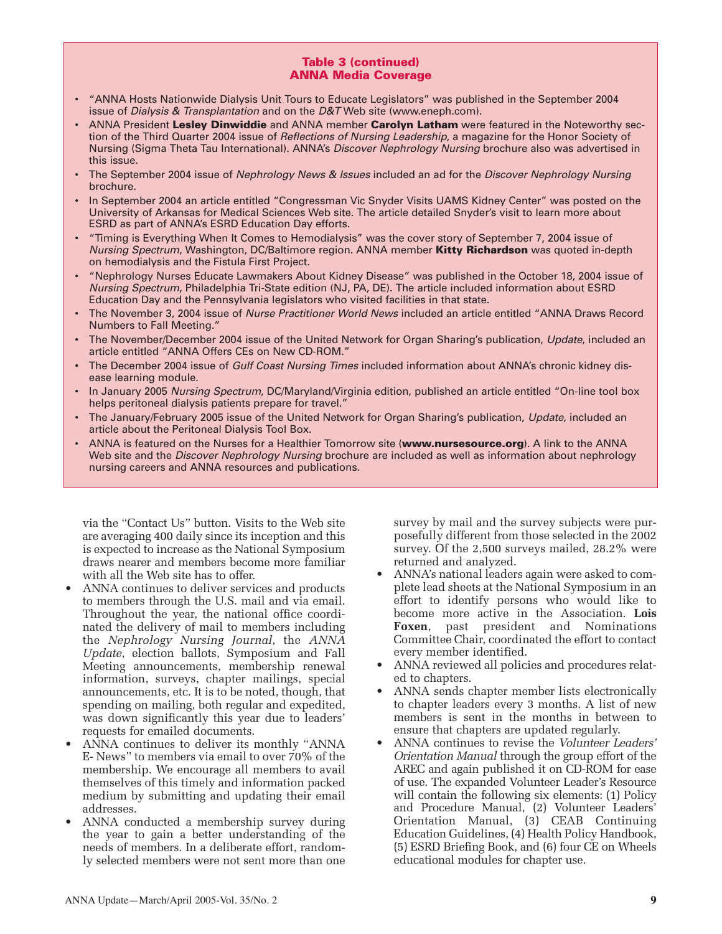#### **Table 3 (continued) ANNA Media Coverage**

- "ANNA Hosts Nationwide Dialysis Unit Tours to Educate Legislators" was published in the September 2004 issue of Dialysis & Transplantation and on the D&T Web site (www.eneph.com).
- ANNA President **Lesley Dinwiddie** and ANNA member **Carolyn Latham** were featured in the Noteworthy section of the Third Quarter 2004 issue of Reflections of Nursing Leadership, a magazine for the Honor Society of Nursing (Sigma Theta Tau International). ANNA's Discover Nephrology Nursing brochure also was advertised in this issue.
- The September 2004 issue of Nephrology News & Issues included an ad for the Discover Nephrology Nursing brochure.
- In September 2004 an article entitled "Congressman Vic Snyder Visits UAMS Kidney Center" was posted on the University of Arkansas for Medical Sciences Web site. The article detailed Snyder's visit to learn more about ESRD as part of ANNA's ESRD Education Day efforts.
- "Timing is Everything When It Comes to Hemodialysis" was the cover story of September 7, 2004 issue of Nursing Spectrum, Washington, DC/Baltimore region. ANNA member **Kitty Richardson** was quoted in-depth on hemodialysis and the Fistula First Project.
- "Nephrology Nurses Educate Lawmakers About Kidney Disease" was published in the October 18, 2004 issue of Nursing Spectrum, Philadelphia Tri-State edition (NJ, PA, DE). The article included information about ESRD Education Day and the Pennsylvania legislators who visited facilities in that state.
- The November 3, 2004 issue of Nurse Practitioner World News included an article entitled "ANNA Draws Record Numbers to Fall Meeting."
- The November/December 2004 issue of the United Network for Organ Sharing's publication, Update, included an article entitled "ANNA Offers CEs on New CD-ROM."
- The December 2004 issue of Gulf Coast Nursing Times included information about ANNA's chronic kidney disease learning module.
- In January 2005 Nursing Spectrum, DC/Maryland/Virginia edition, published an article entitled "On-line tool box helps peritoneal dialysis patients prepare for travel."
- The January/February 2005 issue of the United Network for Organ Sharing's publication, Update, included an article about the Peritoneal Dialysis Tool Box.
- ANNA is featured on the Nurses for a Healthier Tomorrow site (**www.nursesource.org**). A link to the ANNA Web site and the Discover Nephrology Nursing brochure are included as well as information about nephrology nursing careers and ANNA resources and publications.

via the "Contact Us" button. Visits to the Web site are averaging 400 daily since its inception and this is expected to increase as the National Symposium draws nearer and members become more familiar with all the Web site has to offer.

- ANNA continues to deliver services and products to members through the U.S. mail and via email. Throughout the year, the national office coordinated the delivery of mail to members including the *Nephrology Nursing Journal*, the *ANNA Update*, election ballots, Symposium and Fall Meeting announcements, membership renewal information, surveys, chapter mailings, special announcements, etc. It is to be noted, though, that spending on mailing, both regular and expedited, was down significantly this year due to leaders' requests for emailed documents.
- ANNA continues to deliver its monthly "ANNA E- News" to members via email to over 70% of the membership. We encourage all members to avail themselves of this timely and information packed medium by submitting and updating their email addresses.
- ANNA conducted a membership survey during the year to gain a better understanding of the needs of members. In a deliberate effort, randomly selected members were not sent more than one

survey by mail and the survey subjects were purposefully different from those selected in the 2002 survey. Of the 2,500 surveys mailed, 28.2% were returned and analyzed.

- ANNA's national leaders again were asked to complete lead sheets at the National Symposium in an effort to identify persons who would like to become more active in the Association. **Lois Foxen**, past president and Nominations Committee Chair, coordinated the effort to contact every member identified.
- ANNA reviewed all policies and procedures related to chapters.
- ANNA sends chapter member lists electronically to chapter leaders every 3 months. A list of new members is sent in the months in between to ensure that chapters are updated regularly.
- ANNA continues to revise the *Volunteer Leaders' Orientation Manual* through the group effort of the AREC and again published it on CD-ROM for ease of use. The expanded Volunteer Leader's Resource will contain the following six elements: (1) Policy and Procedure Manual, (2) Volunteer Leaders' Orientation Manual, (3) CEAB Continuing Education Guidelines, (4) Health Policy Handbook, (5) ESRD Briefing Book, and (6) four CE on Wheels educational modules for chapter use.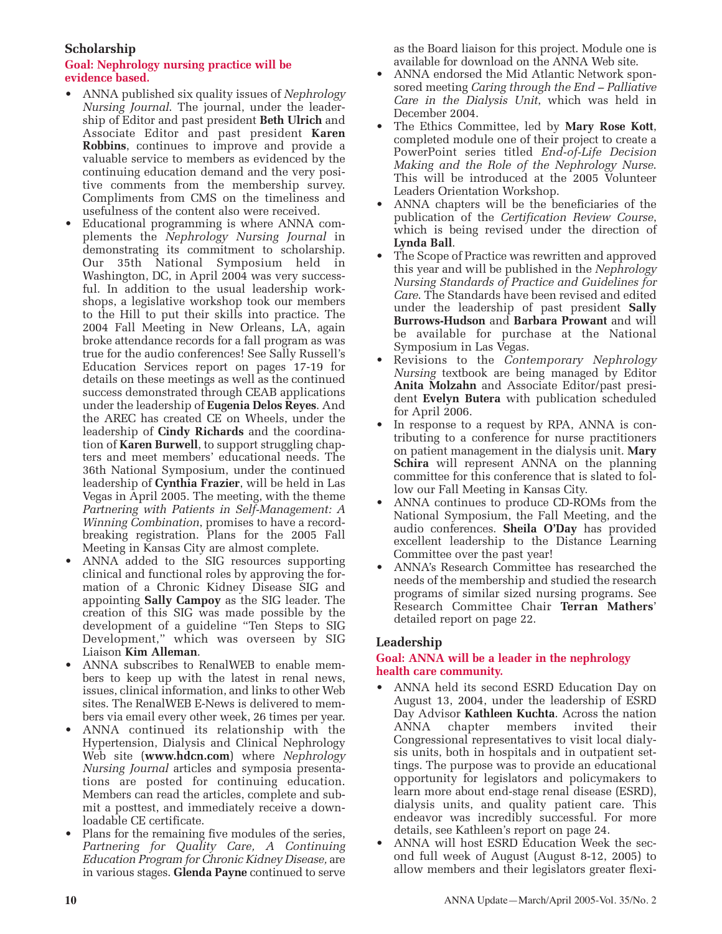# **Scholarship**

# **Goal: Nephrology nursing practice will be evidence based.**

- ANNA published six quality issues of *Nephrology Nursing Journal*. The journal, under the leadership of Editor and past president **Beth Ulrich** and Associate Editor and past president **Karen Robbins**, continues to improve and provide a valuable service to members as evidenced by the continuing education demand and the very positive comments from the membership survey. Compliments from CMS on the timeliness and usefulness of the content also were received.
- Educational programming is where ANNA complements the *Nephrology Nursing Journal* in demonstrating its commitment to scholarship. Our 35th National Symposium held in Washington, DC, in April 2004 was very successful. In addition to the usual leadership workshops, a legislative workshop took our members to the Hill to put their skills into practice. The 2004 Fall Meeting in New Orleans, LA, again broke attendance records for a fall program as was true for the audio conferences! See Sally Russell's Education Services report on pages 17-19 for details on these meetings as well as the continued success demonstrated through CEAB applications under the leadership of **Eugenia Delos Reyes**. And the AREC has created CE on Wheels, under the leadership of **Cindy Richards** and the coordination of **Karen Burwell**, to support struggling chapters and meet members' educational needs. The 36th National Symposium, under the continued leadership of **Cynthia Frazier**, will be held in Las Vegas in April 2005. The meeting, with the theme *Partnering with Patients in Self-Management: A Winning Combination*, promises to have a recordbreaking registration. Plans for the 2005 Fall Meeting in Kansas City are almost complete.
- ANNA added to the SIG resources supporting clinical and functional roles by approving the formation of a Chronic Kidney Disease SIG and appointing **Sally Campoy** as the SIG leader. The creation of this SIG was made possible by the development of a guideline "Ten Steps to SIG Development," which was overseen by SIG Liaison **Kim Alleman**.
- ANNA subscribes to RenalWEB to enable members to keep up with the latest in renal news, issues, clinical information, and links to other Web sites. The RenalWEB E-News is delivered to members via email every other week, 26 times per year.
- ANNA continued its relationship with the Hypertension, Dialysis and Clinical Nephrology Web site (**www.hdcn.com**) where *Nephrology Nursing Journal* articles and symposia presentations are posted for continuing education. Members can read the articles, complete and submit a posttest, and immediately receive a downloadable CE certificate.
- Plans for the remaining five modules of the series, *Partnering for Quality Care, A Continuing Education Program for Chronic Kidney Disease,* are in various stages. **Glenda Payne** continued to serve

as the Board liaison for this project. Module one is available for download on the ANNA Web site.

- ANNA endorsed the Mid Atlantic Network sponsored meeting *Caring through the End – Palliative Care in the Dialysis Unit*, which was held in December 2004.
- The Ethics Committee, led by **Mary Rose Kott**, completed module one of their project to create a PowerPoint series titled *End-of-Life Decision Making and the Role of the Nephrology Nurse*. This will be introduced at the 2005 Volunteer Leaders Orientation Workshop.
- ANNA chapters will be the beneficiaries of the publication of the *Certification Review Course*, which is being revised under the direction of **Lynda Ball**.
- The Scope of Practice was rewritten and approved this year and will be published in the *Nephrology Nursing Standards of Practice and Guidelines for Care*. The Standards have been revised and edited under the leadership of past president **Sally Burrows-Hudson** and **Barbara Prowant** and will be available for purchase at the National Symposium in Las Vegas.
- Revisions to the *Contemporary Nephrology Nursing* textbook are being managed by Editor **Anita Molzahn** and Associate Editor/past president **Evelyn Butera** with publication scheduled for April 2006.
- In response to a request by RPA, ANNA is contributing to a conference for nurse practitioners on patient management in the dialysis unit. **Mary Schira** will represent ANNA on the planning committee for this conference that is slated to follow our Fall Meeting in Kansas City.
- ANNA continues to produce CD-ROMs from the National Symposium, the Fall Meeting, and the audio conferences. **Sheila O'Day** has provided excellent leadership to the Distance Learning Committee over the past year!
- ANNA's Research Committee has researched the needs of the membership and studied the research programs of similar sized nursing programs. See Research Committee Chair **Terran Mathers**' detailed report on page 22.

# **Leadership**

# **Goal: ANNA will be a leader in the nephrology health care community.**

- ANNA held its second ESRD Education Day on August 13, 2004, under the leadership of ESRD Day Advisor **Kathleen Kuchta**. Across the nation ANNA chapter members invited Congressional representatives to visit local dialysis units, both in hospitals and in outpatient settings. The purpose was to provide an educational opportunity for legislators and policymakers to learn more about end-stage renal disease (ESRD), dialysis units, and quality patient care. This endeavor was incredibly successful. For more details, see Kathleen's report on page 24.
- ANNA will host ESRD Education Week the second full week of August (August 8-12, 2005) to allow members and their legislators greater flexi-